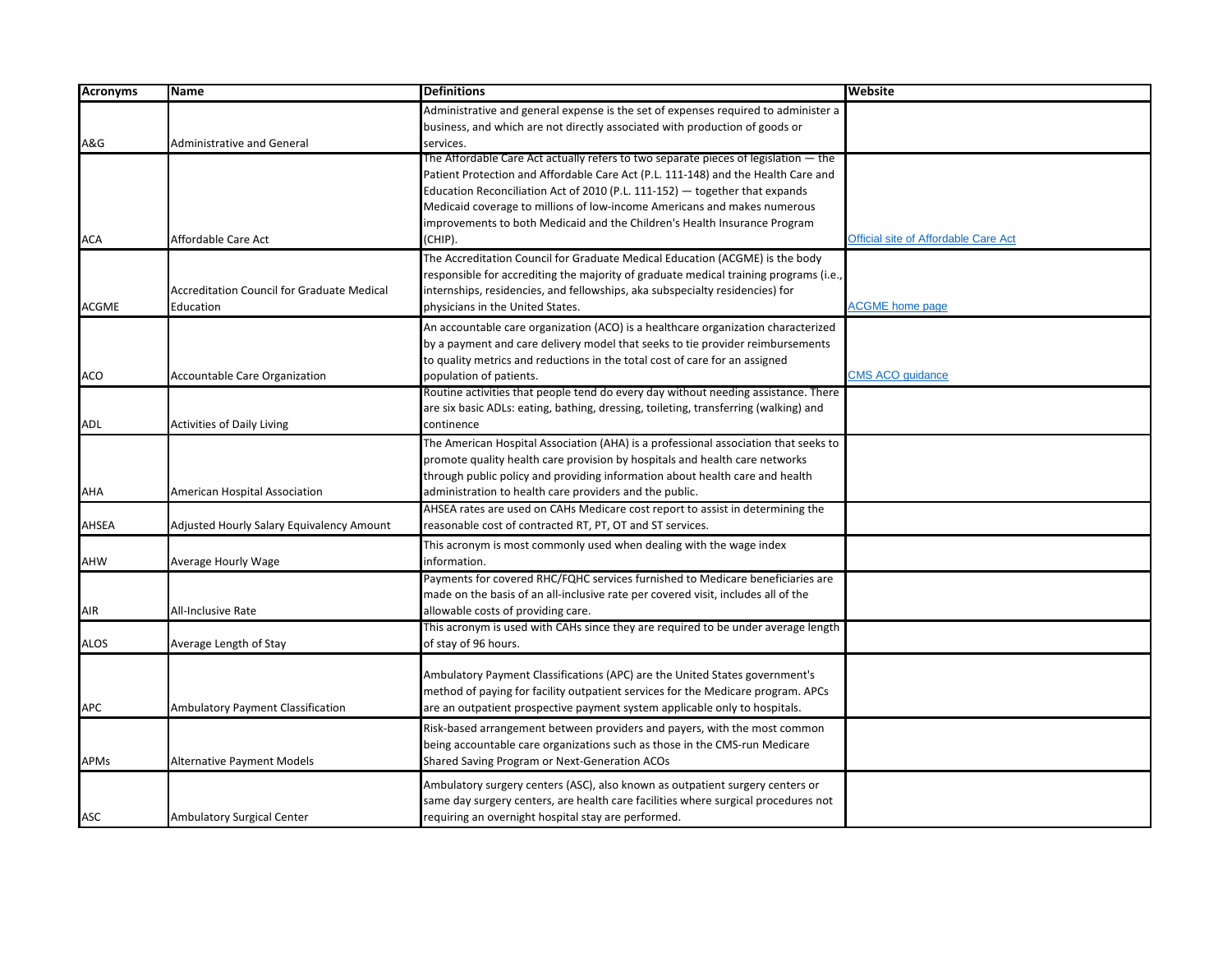| <b>Acronyms</b> | <b>Name</b>                                       | <b>Definitions</b>                                                                    | Website                              |
|-----------------|---------------------------------------------------|---------------------------------------------------------------------------------------|--------------------------------------|
|                 |                                                   | Administrative and general expense is the set of expenses required to administer a    |                                      |
|                 |                                                   | business, and which are not directly associated with production of goods or           |                                      |
| A&G             | <b>Administrative and General</b>                 | services.                                                                             |                                      |
|                 |                                                   | The Affordable Care Act actually refers to two separate pieces of legislation - the   |                                      |
|                 |                                                   | Patient Protection and Affordable Care Act (P.L. 111-148) and the Health Care and     |                                      |
|                 |                                                   | Education Reconciliation Act of 2010 (P.L. 111-152) - together that expands           |                                      |
|                 |                                                   | Medicaid coverage to millions of low-income Americans and makes numerous              |                                      |
|                 |                                                   | improvements to both Medicaid and the Children's Health Insurance Program             |                                      |
| <b>ACA</b>      | Affordable Care Act                               | (CHIP).                                                                               | Official site of Affordable Care Act |
|                 |                                                   | The Accreditation Council for Graduate Medical Education (ACGME) is the body          |                                      |
|                 |                                                   | responsible for accrediting the majority of graduate medical training programs (i.e., |                                      |
|                 | <b>Accreditation Council for Graduate Medical</b> | internships, residencies, and fellowships, aka subspecialty residencies) for          |                                      |
| ACGME           | Education                                         | physicians in the United States.                                                      | <b>ACGME</b> home page               |
|                 |                                                   | An accountable care organization (ACO) is a healthcare organization characterized     |                                      |
|                 |                                                   | by a payment and care delivery model that seeks to tie provider reimbursements        |                                      |
|                 |                                                   | to quality metrics and reductions in the total cost of care for an assigned           |                                      |
| ACO             | <b>Accountable Care Organization</b>              | population of patients.                                                               | <b>CMS ACO quidance</b>              |
|                 |                                                   | Routine activities that people tend do every day without needing assistance. There    |                                      |
|                 |                                                   | are six basic ADLs: eating, bathing, dressing, toileting, transferring (walking) and  |                                      |
| ADL             | <b>Activities of Daily Living</b>                 | continence                                                                            |                                      |
|                 |                                                   | The American Hospital Association (AHA) is a professional association that seeks to   |                                      |
|                 |                                                   | promote quality health care provision by hospitals and health care networks           |                                      |
|                 |                                                   | through public policy and providing information about health care and health          |                                      |
| AHA             | American Hospital Association                     | administration to health care providers and the public.                               |                                      |
|                 |                                                   | AHSEA rates are used on CAHs Medicare cost report to assist in determining the        |                                      |
| <b>AHSEA</b>    | Adjusted Hourly Salary Equivalency Amount         | reasonable cost of contracted RT, PT, OT and ST services.                             |                                      |
|                 |                                                   | This acronym is most commonly used when dealing with the wage index                   |                                      |
| <b>AHW</b>      | <b>Average Hourly Wage</b>                        | information.                                                                          |                                      |
|                 |                                                   | Payments for covered RHC/FQHC services furnished to Medicare beneficiaries are        |                                      |
|                 |                                                   | made on the basis of an all-inclusive rate per covered visit, includes all of the     |                                      |
| AIR             | <b>All-Inclusive Rate</b>                         | allowable costs of providing care.                                                    |                                      |
|                 |                                                   | This acronym is used with CAHs since they are required to be under average length     |                                      |
| <b>ALOS</b>     | Average Length of Stay                            | of stay of 96 hours.                                                                  |                                      |
|                 |                                                   |                                                                                       |                                      |
|                 |                                                   | Ambulatory Payment Classifications (APC) are the United States government's           |                                      |
|                 |                                                   | method of paying for facility outpatient services for the Medicare program. APCs      |                                      |
| <b>APC</b>      | Ambulatory Payment Classification                 | are an outpatient prospective payment system applicable only to hospitals.            |                                      |
|                 |                                                   | Risk-based arrangement between providers and payers, with the most common             |                                      |
|                 |                                                   |                                                                                       |                                      |
|                 |                                                   | being accountable care organizations such as those in the CMS-run Medicare            |                                      |
| <b>APMs</b>     | <b>Alternative Payment Models</b>                 | Shared Saving Program or Next-Generation ACOs                                         |                                      |
|                 |                                                   | Ambulatory surgery centers (ASC), also known as outpatient surgery centers or         |                                      |
|                 |                                                   | same day surgery centers, are health care facilities where surgical procedures not    |                                      |
| ASC             | <b>Ambulatory Surgical Center</b>                 | requiring an overnight hospital stay are performed.                                   |                                      |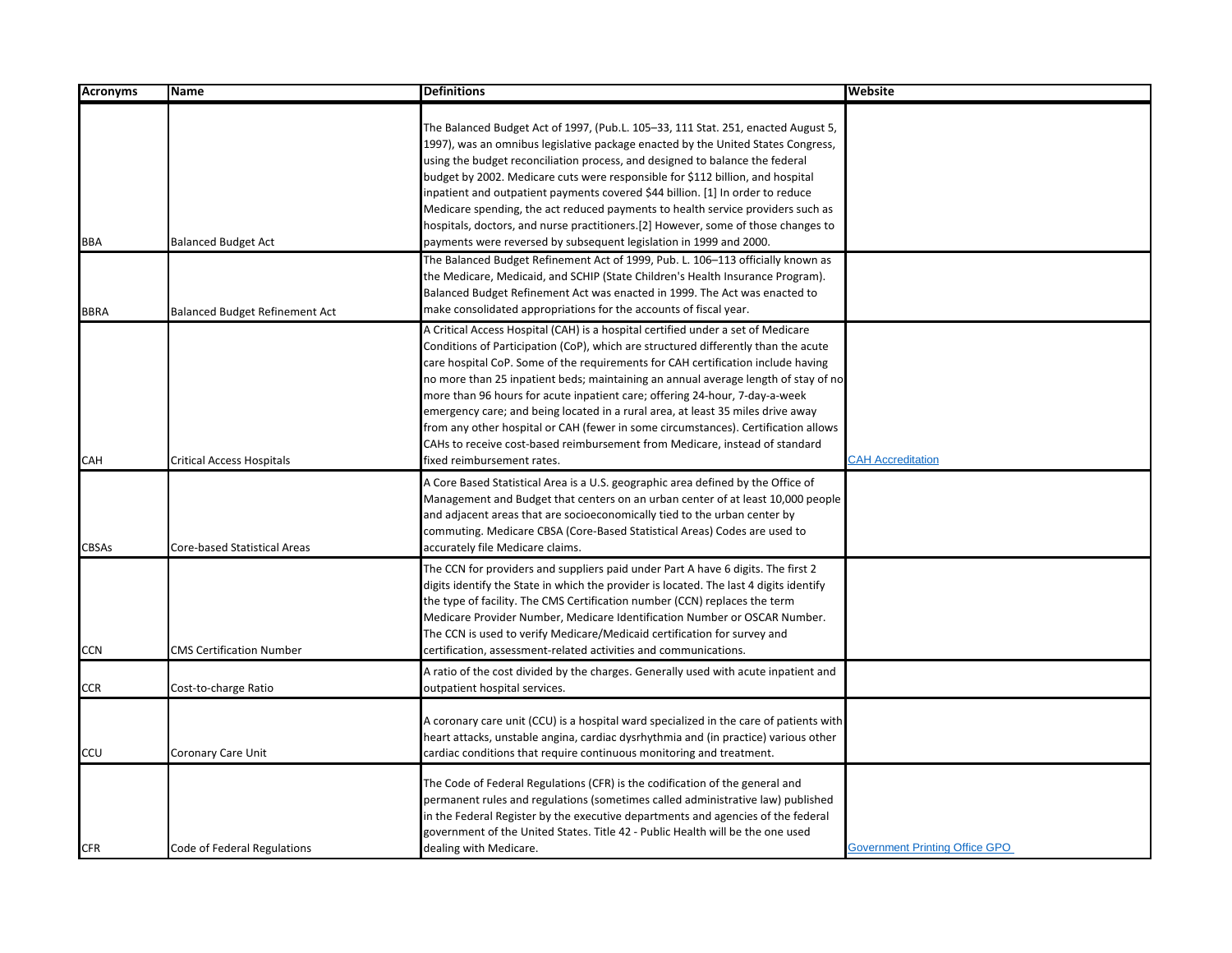| <b>Acronyms</b>    | Name                                                                      | <b>Definitions</b>                                                                                                                                                                                                                                                                                                                                                                                                                                                                                                                                                                                                                                                                                                                                                                                                                                                                                                         | Website                               |
|--------------------|---------------------------------------------------------------------------|----------------------------------------------------------------------------------------------------------------------------------------------------------------------------------------------------------------------------------------------------------------------------------------------------------------------------------------------------------------------------------------------------------------------------------------------------------------------------------------------------------------------------------------------------------------------------------------------------------------------------------------------------------------------------------------------------------------------------------------------------------------------------------------------------------------------------------------------------------------------------------------------------------------------------|---------------------------------------|
| BBA                | <b>Balanced Budget Act</b>                                                | The Balanced Budget Act of 1997, (Pub.L. 105–33, 111 Stat. 251, enacted August 5,<br>1997), was an omnibus legislative package enacted by the United States Congress,<br>using the budget reconciliation process, and designed to balance the federal<br>budget by 2002. Medicare cuts were responsible for \$112 billion, and hospital<br>inpatient and outpatient payments covered \$44 billion. [1] In order to reduce<br>Medicare spending, the act reduced payments to health service providers such as<br>hospitals, doctors, and nurse practitioners.[2] However, some of those changes to<br>payments were reversed by subsequent legislation in 1999 and 2000.<br>The Balanced Budget Refinement Act of 1999, Pub. L. 106-113 officially known as<br>the Medicare, Medicaid, and SCHIP (State Children's Health Insurance Program).<br>Balanced Budget Refinement Act was enacted in 1999. The Act was enacted to |                                       |
| <b>BBRA</b><br>CAH | <b>Balanced Budget Refinement Act</b><br><b>Critical Access Hospitals</b> | make consolidated appropriations for the accounts of fiscal year.<br>A Critical Access Hospital (CAH) is a hospital certified under a set of Medicare<br>Conditions of Participation (CoP), which are structured differently than the acute<br>care hospital CoP. Some of the requirements for CAH certification include having<br>no more than 25 inpatient beds; maintaining an annual average length of stay of no<br>more than 96 hours for acute inpatient care; offering 24-hour, 7-day-a-week<br>emergency care; and being located in a rural area, at least 35 miles drive away<br>from any other hospital or CAH (fewer in some circumstances). Certification allows<br>CAHs to receive cost-based reimbursement from Medicare, instead of standard<br>fixed reimbursement rates.                                                                                                                                 | <b>CAH Accreditation</b>              |
| <b>CBSAs</b>       | Core-based Statistical Areas                                              | A Core Based Statistical Area is a U.S. geographic area defined by the Office of<br>Management and Budget that centers on an urban center of at least 10,000 people<br>and adjacent areas that are socioeconomically tied to the urban center by<br>commuting. Medicare CBSA (Core-Based Statistical Areas) Codes are used to<br>accurately file Medicare claims.                                                                                                                                                                                                                                                                                                                                                                                                                                                                                                                                                          |                                       |
| <b>CCN</b>         | <b>CMS Certification Number</b>                                           | The CCN for providers and suppliers paid under Part A have 6 digits. The first 2<br>digits identify the State in which the provider is located. The last 4 digits identify<br>the type of facility. The CMS Certification number (CCN) replaces the term<br>Medicare Provider Number, Medicare Identification Number or OSCAR Number.<br>The CCN is used to verify Medicare/Medicaid certification for survey and<br>certification, assessment-related activities and communications.                                                                                                                                                                                                                                                                                                                                                                                                                                      |                                       |
| <b>CCR</b>         | Cost-to-charge Ratio                                                      | A ratio of the cost divided by the charges. Generally used with acute inpatient and<br>outpatient hospital services.                                                                                                                                                                                                                                                                                                                                                                                                                                                                                                                                                                                                                                                                                                                                                                                                       |                                       |
| CCU                | Coronary Care Unit                                                        | A coronary care unit (CCU) is a hospital ward specialized in the care of patients with<br>heart attacks, unstable angina, cardiac dysrhythmia and (in practice) various other<br>cardiac conditions that require continuous monitoring and treatment.                                                                                                                                                                                                                                                                                                                                                                                                                                                                                                                                                                                                                                                                      |                                       |
| <b>CFR</b>         | Code of Federal Regulations                                               | The Code of Federal Regulations (CFR) is the codification of the general and<br>permanent rules and regulations (sometimes called administrative law) published<br>in the Federal Register by the executive departments and agencies of the federal<br>government of the United States. Title 42 - Public Health will be the one used<br>dealing with Medicare.                                                                                                                                                                                                                                                                                                                                                                                                                                                                                                                                                            | <b>Government Printing Office GPO</b> |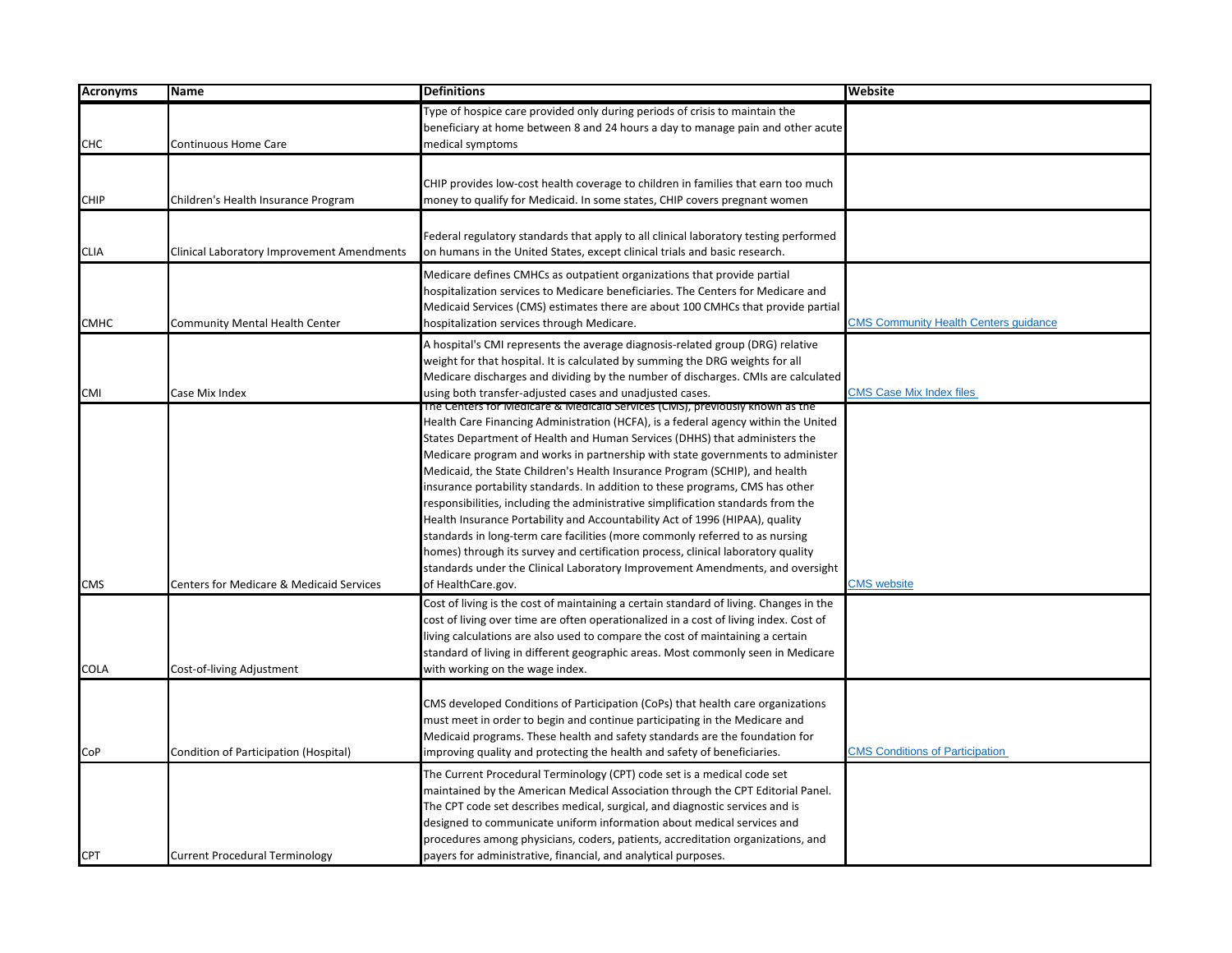| <b>Acronyms</b> | Name                                                | <b>Definitions</b>                                                                     | <b>Website</b>                               |
|-----------------|-----------------------------------------------------|----------------------------------------------------------------------------------------|----------------------------------------------|
|                 |                                                     | Type of hospice care provided only during periods of crisis to maintain the            |                                              |
|                 |                                                     | beneficiary at home between 8 and 24 hours a day to manage pain and other acute        |                                              |
| <b>CHC</b>      | <b>Continuous Home Care</b>                         | medical symptoms                                                                       |                                              |
|                 |                                                     |                                                                                        |                                              |
|                 |                                                     | CHIP provides low-cost health coverage to children in families that earn too much      |                                              |
| <b>CHIP</b>     | Children's Health Insurance Program                 | money to qualify for Medicaid. In some states, CHIP covers pregnant women              |                                              |
|                 |                                                     |                                                                                        |                                              |
|                 |                                                     | Federal regulatory standards that apply to all clinical laboratory testing performed   |                                              |
| <b>CLIA</b>     | Clinical Laboratory Improvement Amendments          | on humans in the United States, except clinical trials and basic research.             |                                              |
|                 |                                                     | Medicare defines CMHCs as outpatient organizations that provide partial                |                                              |
|                 |                                                     | hospitalization services to Medicare beneficiaries. The Centers for Medicare and       |                                              |
|                 |                                                     | Medicaid Services (CMS) estimates there are about 100 CMHCs that provide partial       |                                              |
| <b>CMHC</b>     | Community Mental Health Center                      | hospitalization services through Medicare.                                             | <b>CMS Community Health Centers quidance</b> |
|                 |                                                     | A hospital's CMI represents the average diagnosis-related group (DRG) relative         |                                              |
|                 |                                                     | weight for that hospital. It is calculated by summing the DRG weights for all          |                                              |
|                 |                                                     | Medicare discharges and dividing by the number of discharges. CMIs are calculated      |                                              |
| CMI             | Case Mix Index                                      | using both transfer-adjusted cases and unadjusted cases.                               | <b>CMS Case Mix Index files</b>              |
|                 |                                                     | The Centers for Medicare & Medicald Services (CMS), previously known as the            |                                              |
|                 |                                                     | Health Care Financing Administration (HCFA), is a federal agency within the United     |                                              |
|                 |                                                     | States Department of Health and Human Services (DHHS) that administers the             |                                              |
|                 |                                                     | Medicare program and works in partnership with state governments to administer         |                                              |
|                 |                                                     | Medicaid, the State Children's Health Insurance Program (SCHIP), and health            |                                              |
|                 |                                                     | insurance portability standards. In addition to these programs, CMS has other          |                                              |
|                 |                                                     | responsibilities, including the administrative simplification standards from the       |                                              |
|                 |                                                     | Health Insurance Portability and Accountability Act of 1996 (HIPAA), quality           |                                              |
|                 |                                                     | standards in long-term care facilities (more commonly referred to as nursing           |                                              |
|                 |                                                     | homes) through its survey and certification process, clinical laboratory quality       |                                              |
|                 |                                                     | standards under the Clinical Laboratory Improvement Amendments, and oversight          |                                              |
| <b>CMS</b>      | <b>Centers for Medicare &amp; Medicaid Services</b> | of HealthCare.gov.                                                                     | <b>CMS</b> website                           |
|                 |                                                     | Cost of living is the cost of maintaining a certain standard of living. Changes in the |                                              |
|                 |                                                     | cost of living over time are often operationalized in a cost of living index. Cost of  |                                              |
|                 |                                                     | living calculations are also used to compare the cost of maintaining a certain         |                                              |
|                 |                                                     | standard of living in different geographic areas. Most commonly seen in Medicare       |                                              |
| <b>COLA</b>     | Cost-of-living Adjustment                           | with working on the wage index.                                                        |                                              |
|                 |                                                     |                                                                                        |                                              |
|                 |                                                     | CMS developed Conditions of Participation (CoPs) that health care organizations        |                                              |
|                 |                                                     | must meet in order to begin and continue participating in the Medicare and             |                                              |
|                 |                                                     | Medicaid programs. These health and safety standards are the foundation for            |                                              |
| CoP             | Condition of Participation (Hospital)               | improving quality and protecting the health and safety of beneficiaries.               | <b>CMS Conditions of Participation</b>       |
|                 |                                                     | The Current Procedural Terminology (CPT) code set is a medical code set                |                                              |
|                 |                                                     | maintained by the American Medical Association through the CPT Editorial Panel.        |                                              |
|                 |                                                     | The CPT code set describes medical, surgical, and diagnostic services and is           |                                              |
|                 |                                                     | designed to communicate uniform information about medical services and                 |                                              |
|                 |                                                     | procedures among physicians, coders, patients, accreditation organizations, and        |                                              |
| <b>CPT</b>      | <b>Current Procedural Terminology</b>               | payers for administrative, financial, and analytical purposes.                         |                                              |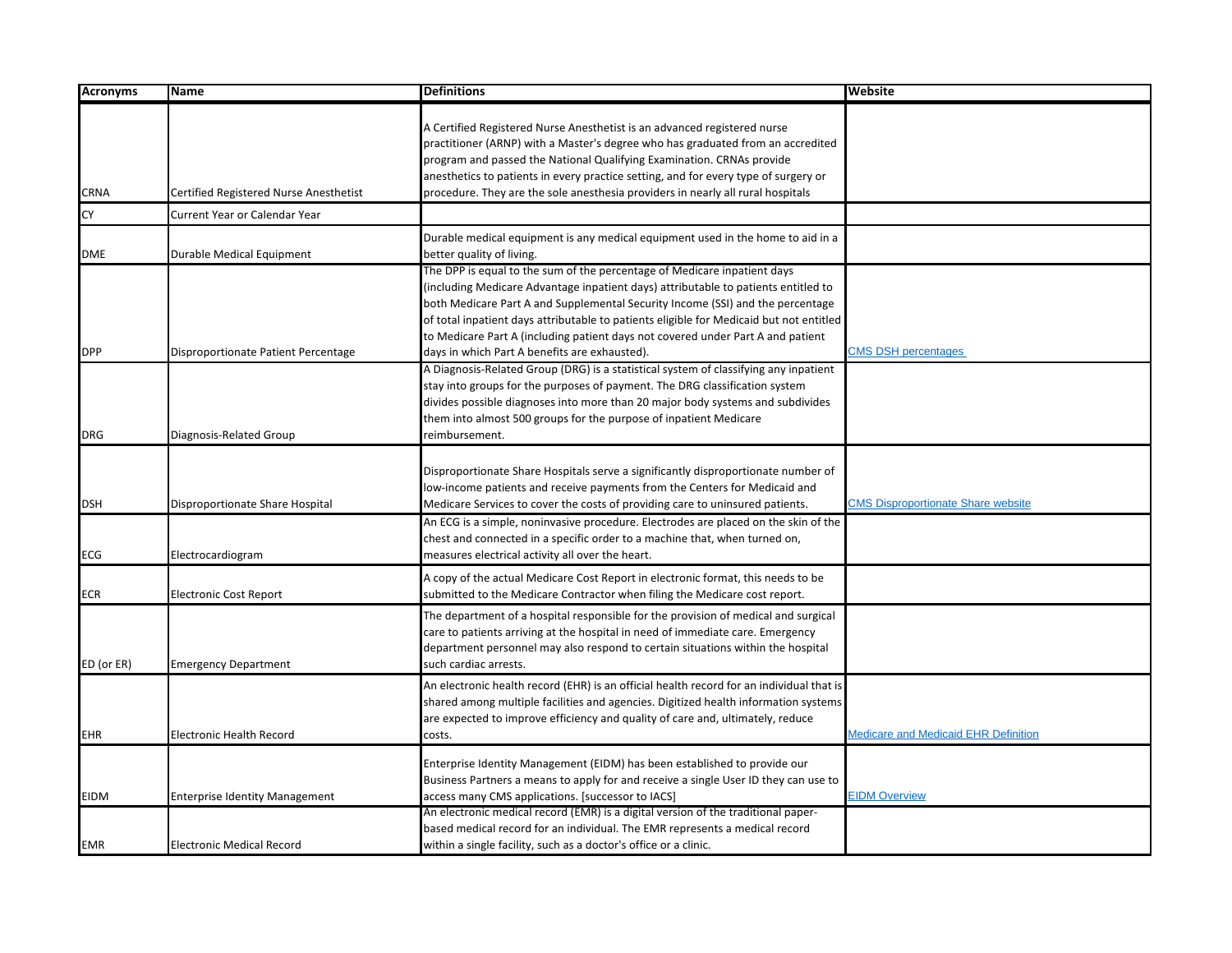| <b>Acronyms</b> | <b>Name</b>                            | <b>Definitions</b>                                                                                                                                                                                                                                                                                                                                                                                                                                                              | Website                                   |
|-----------------|----------------------------------------|---------------------------------------------------------------------------------------------------------------------------------------------------------------------------------------------------------------------------------------------------------------------------------------------------------------------------------------------------------------------------------------------------------------------------------------------------------------------------------|-------------------------------------------|
| CRNA            | Certified Registered Nurse Anesthetist | A Certified Registered Nurse Anesthetist is an advanced registered nurse<br>practitioner (ARNP) with a Master's degree who has graduated from an accredited<br>program and passed the National Qualifying Examination. CRNAs provide<br>anesthetics to patients in every practice setting, and for every type of surgery or<br>procedure. They are the sole anesthesia providers in nearly all rural hospitals                                                                  |                                           |
| CY              | <b>Current Year or Calendar Year</b>   |                                                                                                                                                                                                                                                                                                                                                                                                                                                                                 |                                           |
| <b>DME</b>      | Durable Medical Equipment              | Durable medical equipment is any medical equipment used in the home to aid in a<br>better quality of living.                                                                                                                                                                                                                                                                                                                                                                    |                                           |
| <b>DPP</b>      | Disproportionate Patient Percentage    | The DPP is equal to the sum of the percentage of Medicare inpatient days<br>(including Medicare Advantage inpatient days) attributable to patients entitled to<br>both Medicare Part A and Supplemental Security Income (SSI) and the percentage<br>of total inpatient days attributable to patients eligible for Medicaid but not entitled<br>to Medicare Part A (including patient days not covered under Part A and patient<br>days in which Part A benefits are exhausted). | <b>CMS DSH percentages</b>                |
| DRG             | Diagnosis-Related Group                | A Diagnosis-Related Group (DRG) is a statistical system of classifying any inpatient<br>stay into groups for the purposes of payment. The DRG classification system<br>divides possible diagnoses into more than 20 major body systems and subdivides<br>them into almost 500 groups for the purpose of inpatient Medicare<br>reimbursement.                                                                                                                                    |                                           |
| <b>DSH</b>      | Disproportionate Share Hospital        | Disproportionate Share Hospitals serve a significantly disproportionate number of<br>low-income patients and receive payments from the Centers for Medicaid and<br>Medicare Services to cover the costs of providing care to uninsured patients.<br>An ECG is a simple, noninvasive procedure. Electrodes are placed on the skin of the                                                                                                                                         | <b>CMS Disproportionate Share website</b> |
| ECG             | Electrocardiogram                      | chest and connected in a specific order to a machine that, when turned on,<br>measures electrical activity all over the heart.                                                                                                                                                                                                                                                                                                                                                  |                                           |
| ECR             | <b>Electronic Cost Report</b>          | A copy of the actual Medicare Cost Report in electronic format, this needs to be<br>submitted to the Medicare Contractor when filing the Medicare cost report.                                                                                                                                                                                                                                                                                                                  |                                           |
| ED (or ER)      | <b>Emergency Department</b>            | The department of a hospital responsible for the provision of medical and surgical<br>care to patients arriving at the hospital in need of immediate care. Emergency<br>department personnel may also respond to certain situations within the hospital<br>such cardiac arrests.                                                                                                                                                                                                |                                           |
| EHR             | <b>Electronic Health Record</b>        | An electronic health record (EHR) is an official health record for an individual that is<br>shared among multiple facilities and agencies. Digitized health information systems<br>are expected to improve efficiency and quality of care and, ultimately, reduce<br>costs.                                                                                                                                                                                                     | Medicare and Medicaid EHR Definition      |
| EIDM            | <b>Enterprise Identity Management</b>  | Enterprise Identity Management (EIDM) has been established to provide our<br>Business Partners a means to apply for and receive a single User ID they can use to<br>access many CMS applications. [successor to IACS]                                                                                                                                                                                                                                                           | <b>EIDM Overview</b>                      |
| <b>EMR</b>      | <b>Electronic Medical Record</b>       | An electronic medical record (EMR) is a digital version of the traditional paper-<br>based medical record for an individual. The EMR represents a medical record<br>within a single facility, such as a doctor's office or a clinic.                                                                                                                                                                                                                                            |                                           |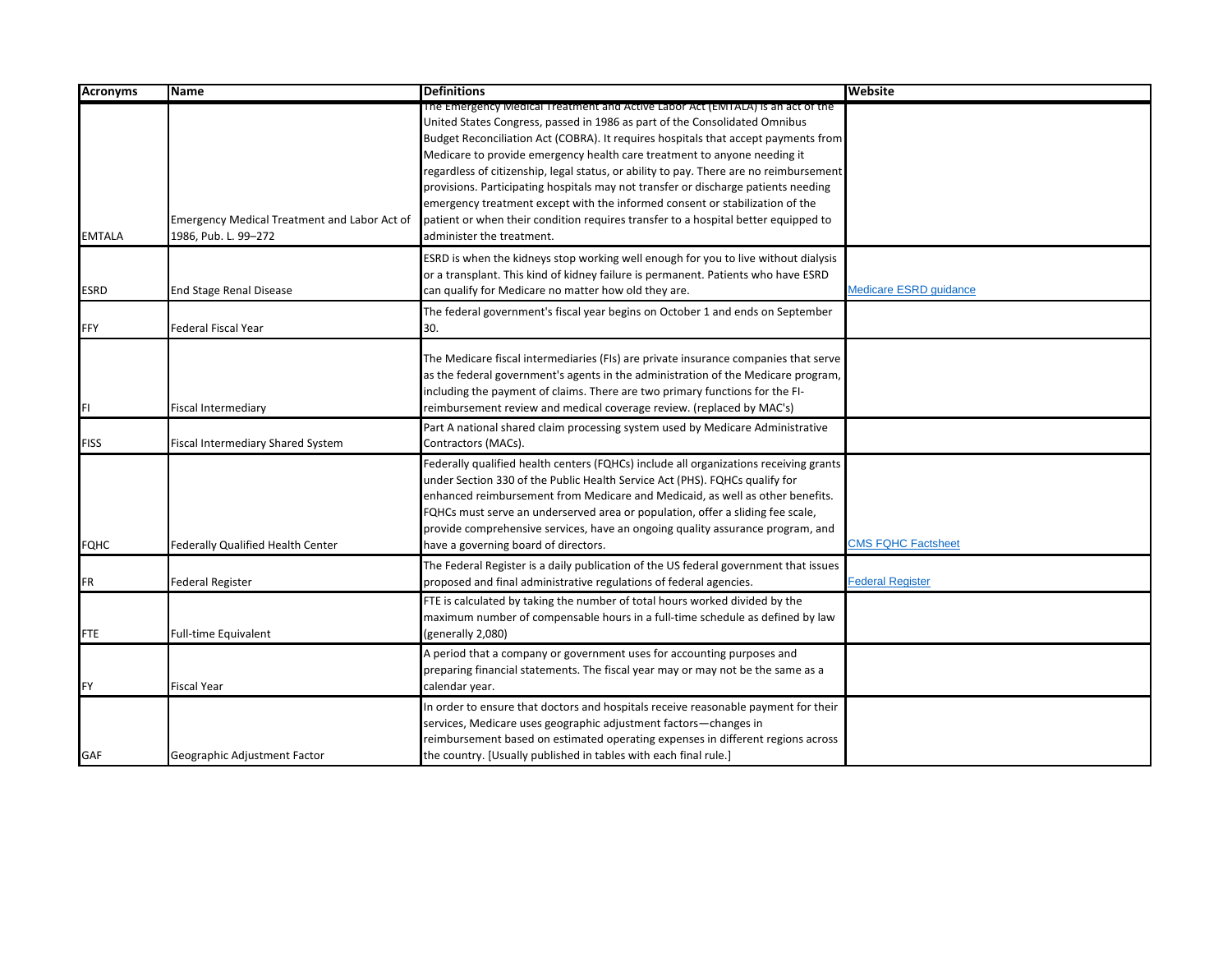| <b>Acronyms</b> | <b>Name</b>                                                                 | <b>Definitions</b>                                                                                                                                                                                                                                                                                                                                                                                                                                                                                                                                                                                                                                                                                                | Website                   |
|-----------------|-----------------------------------------------------------------------------|-------------------------------------------------------------------------------------------------------------------------------------------------------------------------------------------------------------------------------------------------------------------------------------------------------------------------------------------------------------------------------------------------------------------------------------------------------------------------------------------------------------------------------------------------------------------------------------------------------------------------------------------------------------------------------------------------------------------|---------------------------|
| <b>EMTALA</b>   | <b>Emergency Medical Treatment and Labor Act of</b><br>1986, Pub. L. 99-272 | The Emergency Medical Treatment and Active Labor Act (EMTALA) is an act of the<br>United States Congress, passed in 1986 as part of the Consolidated Omnibus<br>Budget Reconciliation Act (COBRA). It requires hospitals that accept payments from<br>Medicare to provide emergency health care treatment to anyone needing it<br>regardless of citizenship, legal status, or ability to pay. There are no reimbursement<br>provisions. Participating hospitals may not transfer or discharge patients needing<br>emergency treatment except with the informed consent or stabilization of the<br>patient or when their condition requires transfer to a hospital better equipped to<br>administer the treatment. |                           |
| <b>ESRD</b>     | <b>End Stage Renal Disease</b>                                              | ESRD is when the kidneys stop working well enough for you to live without dialysis<br>or a transplant. This kind of kidney failure is permanent. Patients who have ESRD<br>can qualify for Medicare no matter how old they are.                                                                                                                                                                                                                                                                                                                                                                                                                                                                                   | Medicare ESRD quidance    |
| FFY             | <b>Federal Fiscal Year</b>                                                  | The federal government's fiscal year begins on October 1 and ends on September<br>30.                                                                                                                                                                                                                                                                                                                                                                                                                                                                                                                                                                                                                             |                           |
| FI              | <b>Fiscal Intermediary</b>                                                  | The Medicare fiscal intermediaries (FIs) are private insurance companies that serve<br>as the federal government's agents in the administration of the Medicare program,<br>including the payment of claims. There are two primary functions for the FI-<br>reimbursement review and medical coverage review. (replaced by MAC's)                                                                                                                                                                                                                                                                                                                                                                                 |                           |
| <b>FISS</b>     | Fiscal Intermediary Shared System                                           | Part A national shared claim processing system used by Medicare Administrative<br>Contractors (MACs).                                                                                                                                                                                                                                                                                                                                                                                                                                                                                                                                                                                                             |                           |
| <b>FQHC</b>     | <b>Federally Qualified Health Center</b>                                    | Federally qualified health centers (FQHCs) include all organizations receiving grants<br>under Section 330 of the Public Health Service Act (PHS). FQHCs qualify for<br>enhanced reimbursement from Medicare and Medicaid, as well as other benefits.<br>FQHCs must serve an underserved area or population, offer a sliding fee scale,<br>provide comprehensive services, have an ongoing quality assurance program, and<br>have a governing board of directors.                                                                                                                                                                                                                                                 | <b>CMS FQHC Factsheet</b> |
| FR              | <b>Federal Register</b>                                                     | The Federal Register is a daily publication of the US federal government that issues<br>proposed and final administrative regulations of federal agencies.                                                                                                                                                                                                                                                                                                                                                                                                                                                                                                                                                        | <b>Federal Register</b>   |
| <b>FTE</b>      | Full-time Equivalent                                                        | FTE is calculated by taking the number of total hours worked divided by the<br>maximum number of compensable hours in a full-time schedule as defined by law<br>(generally 2,080)                                                                                                                                                                                                                                                                                                                                                                                                                                                                                                                                 |                           |
| <b>FY</b>       | <b>Fiscal Year</b>                                                          | A period that a company or government uses for accounting purposes and<br>preparing financial statements. The fiscal year may or may not be the same as a<br>calendar year.                                                                                                                                                                                                                                                                                                                                                                                                                                                                                                                                       |                           |
| <b>GAF</b>      | Geographic Adjustment Factor                                                | In order to ensure that doctors and hospitals receive reasonable payment for their<br>services, Medicare uses geographic adjustment factors-changes in<br>reimbursement based on estimated operating expenses in different regions across<br>the country. [Usually published in tables with each final rule.]                                                                                                                                                                                                                                                                                                                                                                                                     |                           |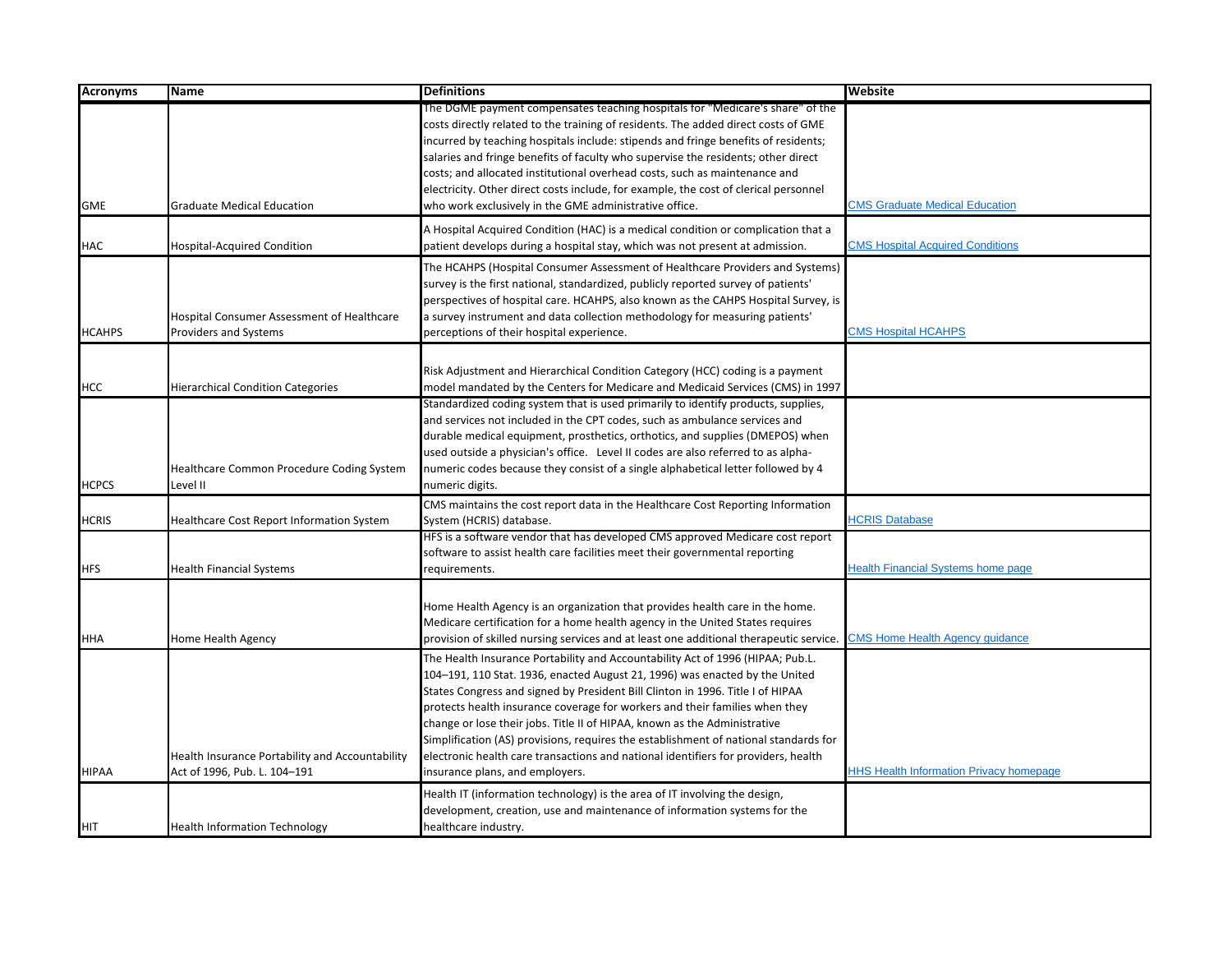| <b>Acronyms</b> | <b>Name</b>                                     | <b>Definitions</b>                                                                                                                                                       | <b>Website</b>                                 |
|-----------------|-------------------------------------------------|--------------------------------------------------------------------------------------------------------------------------------------------------------------------------|------------------------------------------------|
|                 |                                                 | The DGME payment compensates teaching hospitals for "Medicare's share" of the                                                                                            |                                                |
|                 |                                                 | costs directly related to the training of residents. The added direct costs of GME<br>incurred by teaching hospitals include: stipends and fringe benefits of residents; |                                                |
|                 |                                                 | salaries and fringe benefits of faculty who supervise the residents; other direct                                                                                        |                                                |
|                 |                                                 | costs; and allocated institutional overhead costs, such as maintenance and                                                                                               |                                                |
|                 |                                                 | electricity. Other direct costs include, for example, the cost of clerical personnel                                                                                     |                                                |
| <b>GME</b>      | <b>Graduate Medical Education</b>               | who work exclusively in the GME administrative office.                                                                                                                   | <b>CMS Graduate Medical Education</b>          |
|                 |                                                 | A Hospital Acquired Condition (HAC) is a medical condition or complication that a                                                                                        |                                                |
| <b>HAC</b>      | <b>Hospital-Acquired Condition</b>              | patient develops during a hospital stay, which was not present at admission.                                                                                             | <b>CMS Hospital Acquired Conditions</b>        |
|                 |                                                 | The HCAHPS (Hospital Consumer Assessment of Healthcare Providers and Systems)                                                                                            |                                                |
|                 |                                                 | survey is the first national, standardized, publicly reported survey of patients'                                                                                        |                                                |
|                 |                                                 | perspectives of hospital care. HCAHPS, also known as the CAHPS Hospital Survey, is                                                                                       |                                                |
|                 | Hospital Consumer Assessment of Healthcare      | a survey instrument and data collection methodology for measuring patients'                                                                                              |                                                |
| <b>HCAHPS</b>   | Providers and Systems                           | perceptions of their hospital experience.                                                                                                                                | <b>CMS Hospital HCAHPS</b>                     |
|                 |                                                 |                                                                                                                                                                          |                                                |
|                 |                                                 | Risk Adjustment and Hierarchical Condition Category (HCC) coding is a payment                                                                                            |                                                |
| <b>HCC</b>      | <b>Hierarchical Condition Categories</b>        | model mandated by the Centers for Medicare and Medicaid Services (CMS) in 1997<br>Standardized coding system that is used primarily to identify products, supplies,      |                                                |
|                 |                                                 | and services not included in the CPT codes, such as ambulance services and                                                                                               |                                                |
|                 |                                                 | durable medical equipment, prosthetics, orthotics, and supplies (DMEPOS) when                                                                                            |                                                |
|                 |                                                 | used outside a physician's office. Level II codes are also referred to as alpha-                                                                                         |                                                |
|                 | Healthcare Common Procedure Coding System       | numeric codes because they consist of a single alphabetical letter followed by 4                                                                                         |                                                |
| <b>HCPCS</b>    | Level II                                        | numeric digits.                                                                                                                                                          |                                                |
|                 |                                                 | CMS maintains the cost report data in the Healthcare Cost Reporting Information                                                                                          |                                                |
| <b>HCRIS</b>    | Healthcare Cost Report Information System       | System (HCRIS) database.                                                                                                                                                 | <b>HCRIS Database</b>                          |
|                 |                                                 | HFS is a software vendor that has developed CMS approved Medicare cost report                                                                                            |                                                |
| <b>HFS</b>      | <b>Health Financial Systems</b>                 | software to assist health care facilities meet their governmental reporting<br>requirements.                                                                             | <b>Health Financial Systems home page</b>      |
|                 |                                                 |                                                                                                                                                                          |                                                |
|                 |                                                 | Home Health Agency is an organization that provides health care in the home.                                                                                             |                                                |
|                 |                                                 | Medicare certification for a home health agency in the United States requires                                                                                            |                                                |
| <b>HHA</b>      | Home Health Agency                              | provision of skilled nursing services and at least one additional therapeutic service.                                                                                   | <b>CMS Home Health Agency guidance</b>         |
|                 |                                                 | The Health Insurance Portability and Accountability Act of 1996 (HIPAA; Pub.L.                                                                                           |                                                |
|                 |                                                 | 104-191, 110 Stat. 1936, enacted August 21, 1996) was enacted by the United                                                                                              |                                                |
|                 |                                                 | States Congress and signed by President Bill Clinton in 1996. Title I of HIPAA                                                                                           |                                                |
|                 |                                                 | protects health insurance coverage for workers and their families when they                                                                                              |                                                |
|                 |                                                 | change or lose their jobs. Title II of HIPAA, known as the Administrative                                                                                                |                                                |
|                 |                                                 | Simplification (AS) provisions, requires the establishment of national standards for                                                                                     |                                                |
|                 | Health Insurance Portability and Accountability | electronic health care transactions and national identifiers for providers, health                                                                                       |                                                |
| <b>HIPAA</b>    | Act of 1996, Pub. L. 104-191                    | insurance plans, and employers.                                                                                                                                          | <b>HHS Health Information Privacy homepage</b> |
|                 |                                                 | Health IT (information technology) is the area of IT involving the design,                                                                                               |                                                |
|                 |                                                 | development, creation, use and maintenance of information systems for the                                                                                                |                                                |
| <b>HIT</b>      | <b>Health Information Technology</b>            | healthcare industry.                                                                                                                                                     |                                                |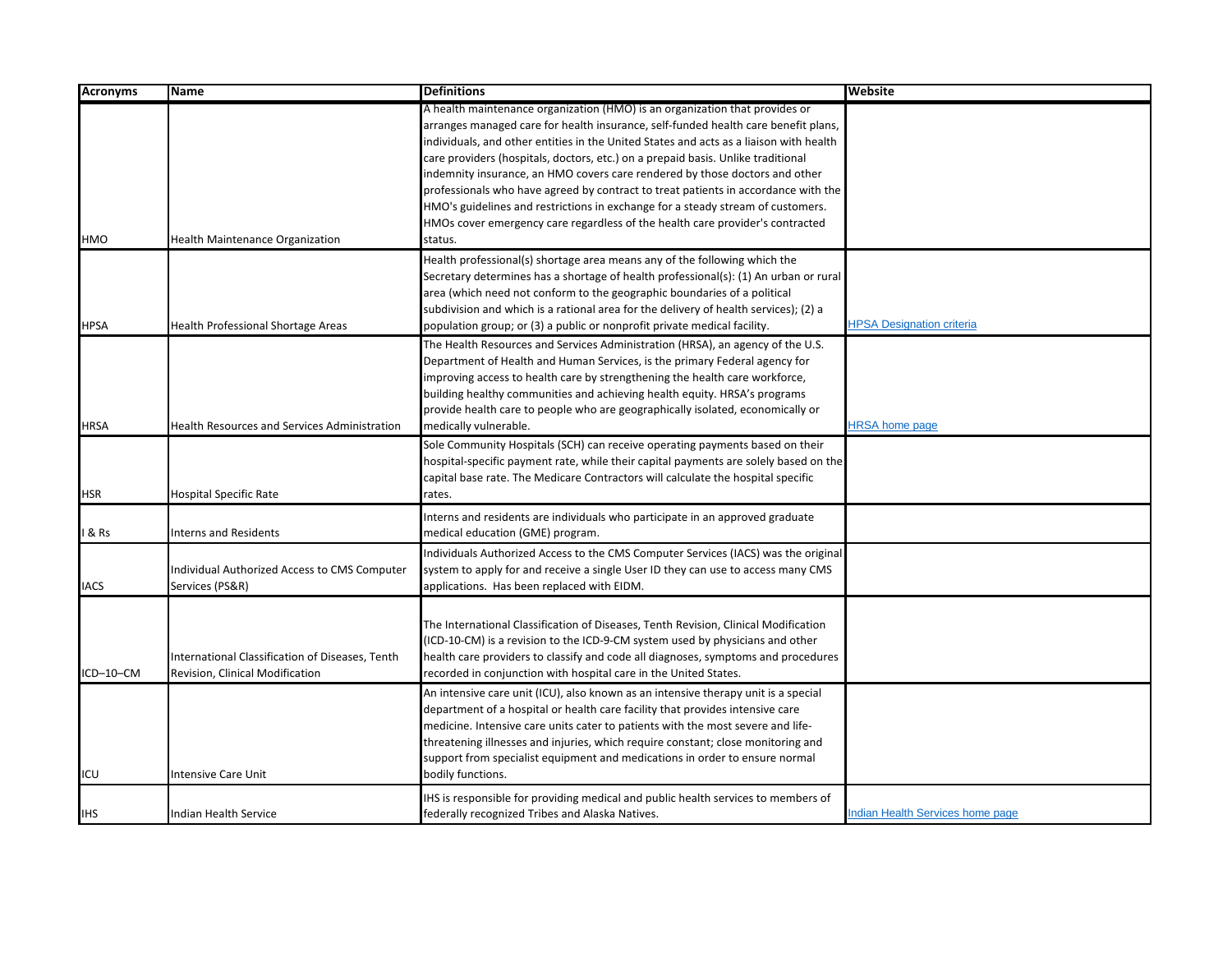| <b>Acronyms</b> | <b>Name</b>                                         | <b>Definitions</b>                                                                               | Website                                 |
|-----------------|-----------------------------------------------------|--------------------------------------------------------------------------------------------------|-----------------------------------------|
|                 |                                                     | A health maintenance organization (HMO) is an organization that provides or                      |                                         |
|                 |                                                     | arranges managed care for health insurance, self-funded health care benefit plans,               |                                         |
|                 |                                                     | individuals, and other entities in the United States and acts as a liaison with health           |                                         |
|                 |                                                     | care providers (hospitals, doctors, etc.) on a prepaid basis. Unlike traditional                 |                                         |
|                 |                                                     | indemnity insurance, an HMO covers care rendered by those doctors and other                      |                                         |
|                 |                                                     | professionals who have agreed by contract to treat patients in accordance with the               |                                         |
|                 |                                                     | HMO's guidelines and restrictions in exchange for a steady stream of customers.                  |                                         |
|                 |                                                     | HMOs cover emergency care regardless of the health care provider's contracted                    |                                         |
| HMO             | <b>Health Maintenance Organization</b>              | status.                                                                                          |                                         |
|                 |                                                     | Health professional(s) shortage area means any of the following which the                        |                                         |
|                 |                                                     | Secretary determines has a shortage of health professional(s): (1) An urban or rural             |                                         |
|                 |                                                     | area (which need not conform to the geographic boundaries of a political                         |                                         |
|                 |                                                     | subdivision and which is a rational area for the delivery of health services); (2) a             |                                         |
| <b>HPSA</b>     | <b>Health Professional Shortage Areas</b>           | population group; or (3) a public or nonprofit private medical facility.                         | <b>HPSA Designation criteria</b>        |
|                 |                                                     | The Health Resources and Services Administration (HRSA), an agency of the U.S.                   |                                         |
|                 |                                                     | Department of Health and Human Services, is the primary Federal agency for                       |                                         |
|                 |                                                     | improving access to health care by strengthening the health care workforce,                      |                                         |
|                 |                                                     | building healthy communities and achieving health equity. HRSA's programs                        |                                         |
|                 |                                                     | provide health care to people who are geographically isolated, economically or                   |                                         |
| HRSA            | <b>Health Resources and Services Administration</b> | medically vulnerable.                                                                            | <b>HRSA</b> home page                   |
|                 |                                                     | Sole Community Hospitals (SCH) can receive operating payments based on their                     |                                         |
|                 |                                                     | hospital-specific payment rate, while their capital payments are solely based on the             |                                         |
|                 |                                                     | capital base rate. The Medicare Contractors will calculate the hospital specific                 |                                         |
| HSR             | <b>Hospital Specific Rate</b>                       | rates.                                                                                           |                                         |
|                 |                                                     | Interns and residents are individuals who participate in an approved graduate                    |                                         |
| & Rs            | <b>Interns and Residents</b>                        | medical education (GME) program.                                                                 |                                         |
|                 |                                                     | Individuals Authorized Access to the CMS Computer Services (IACS) was the original               |                                         |
|                 | Individual Authorized Access to CMS Computer        | system to apply for and receive a single User ID they can use to access many CMS                 |                                         |
| <b>IACS</b>     | Services (PS&R)                                     | applications. Has been replaced with EIDM.                                                       |                                         |
|                 |                                                     |                                                                                                  |                                         |
|                 |                                                     | The International Classification of Diseases, Tenth Revision, Clinical Modification              |                                         |
|                 |                                                     | (ICD-10-CM) is a revision to the ICD-9-CM system used by physicians and other                    |                                         |
|                 | International Classification of Diseases, Tenth     | health care providers to classify and code all diagnoses, symptoms and procedures                |                                         |
| ICD-10-CM       | Revision, Clinical Modification                     | recorded in conjunction with hospital care in the United States.                                 |                                         |
|                 |                                                     | An intensive care unit (ICU), also known as an intensive therapy unit is a special               |                                         |
|                 |                                                     | department of a hospital or health care facility that provides intensive care                    |                                         |
|                 |                                                     |                                                                                                  |                                         |
|                 |                                                     | medicine. Intensive care units cater to patients with the most severe and life-                  |                                         |
|                 |                                                     | threatening illnesses and injuries, which require constant; close monitoring and                 |                                         |
| ICU             | <b>Intensive Care Unit</b>                          | support from specialist equipment and medications in order to ensure normal<br>bodily functions. |                                         |
|                 |                                                     |                                                                                                  |                                         |
|                 |                                                     | IHS is responsible for providing medical and public health services to members of                |                                         |
| IHS             | Indian Health Service                               | federally recognized Tribes and Alaska Natives.                                                  | <b>Indian Health Services home page</b> |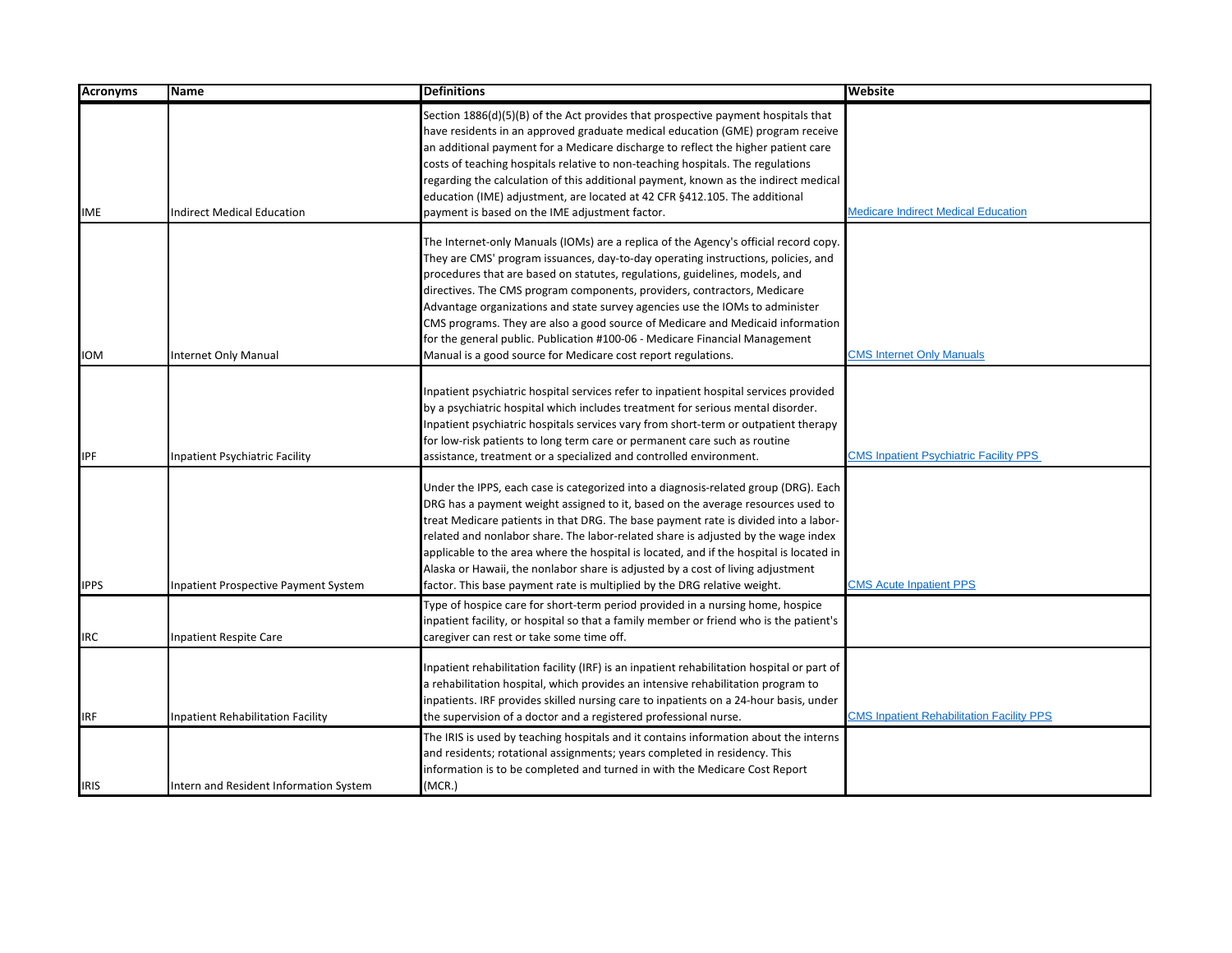| <b>Acronyms</b> | Name                                        | <b>Definitions</b>                                                                                                                                                                                                                                                                                                                                                                                                                                                                                                                                                                                                                                     | Website                                          |
|-----------------|---------------------------------------------|--------------------------------------------------------------------------------------------------------------------------------------------------------------------------------------------------------------------------------------------------------------------------------------------------------------------------------------------------------------------------------------------------------------------------------------------------------------------------------------------------------------------------------------------------------------------------------------------------------------------------------------------------------|--------------------------------------------------|
| IME             | <b>Indirect Medical Education</b>           | Section 1886(d)(5)(B) of the Act provides that prospective payment hospitals that<br>have residents in an approved graduate medical education (GME) program receive<br>an additional payment for a Medicare discharge to reflect the higher patient care<br>costs of teaching hospitals relative to non-teaching hospitals. The regulations<br>regarding the calculation of this additional payment, known as the indirect medical<br>education (IME) adjustment, are located at 42 CFR §412.105. The additional<br>payment is based on the IME adjustment factor.                                                                                     | <b>Medicare Indirect Medical Education</b>       |
| ЮM              | <b>Internet Only Manual</b>                 | The Internet-only Manuals (IOMs) are a replica of the Agency's official record copy.<br>They are CMS' program issuances, day-to-day operating instructions, policies, and<br>procedures that are based on statutes, regulations, guidelines, models, and<br>directives. The CMS program components, providers, contractors, Medicare<br>Advantage organizations and state survey agencies use the IOMs to administer<br>CMS programs. They are also a good source of Medicare and Medicaid information<br>for the general public. Publication #100-06 - Medicare Financial Management<br>Manual is a good source for Medicare cost report regulations. | <b>CMS Internet Only Manuals</b>                 |
| IPF             | Inpatient Psychiatric Facility              | Inpatient psychiatric hospital services refer to inpatient hospital services provided<br>by a psychiatric hospital which includes treatment for serious mental disorder.<br>Inpatient psychiatric hospitals services vary from short-term or outpatient therapy<br>for low-risk patients to long term care or permanent care such as routine<br>assistance, treatment or a specialized and controlled environment.                                                                                                                                                                                                                                     | <b>CMS Inpatient Psychiatric Facility PPS</b>    |
| <b>IPPS</b>     | <b>Inpatient Prospective Payment System</b> | Under the IPPS, each case is categorized into a diagnosis-related group (DRG). Each<br>DRG has a payment weight assigned to it, based on the average resources used to<br>treat Medicare patients in that DRG. The base payment rate is divided into a labor-<br>related and nonlabor share. The labor-related share is adjusted by the wage index<br>applicable to the area where the hospital is located, and if the hospital is located in<br>Alaska or Hawaii, the nonlabor share is adjusted by a cost of living adjustment<br>factor. This base payment rate is multiplied by the DRG relative weight.                                           | <b>CMS Acute Inpatient PPS</b>                   |
| IRC             | <b>Inpatient Respite Care</b>               | Type of hospice care for short-term period provided in a nursing home, hospice<br>inpatient facility, or hospital so that a family member or friend who is the patient's<br>caregiver can rest or take some time off.                                                                                                                                                                                                                                                                                                                                                                                                                                  |                                                  |
| IRF             | <b>Inpatient Rehabilitation Facility</b>    | Inpatient rehabilitation facility (IRF) is an inpatient rehabilitation hospital or part of<br>a rehabilitation hospital, which provides an intensive rehabilitation program to<br>inpatients. IRF provides skilled nursing care to inpatients on a 24-hour basis, under<br>the supervision of a doctor and a registered professional nurse.                                                                                                                                                                                                                                                                                                            | <b>CMS Inpatient Rehabilitation Facility PPS</b> |
| <b>IRIS</b>     | Intern and Resident Information System      | The IRIS is used by teaching hospitals and it contains information about the interns<br>and residents; rotational assignments; years completed in residency. This<br>information is to be completed and turned in with the Medicare Cost Report<br>(MCR.)                                                                                                                                                                                                                                                                                                                                                                                              |                                                  |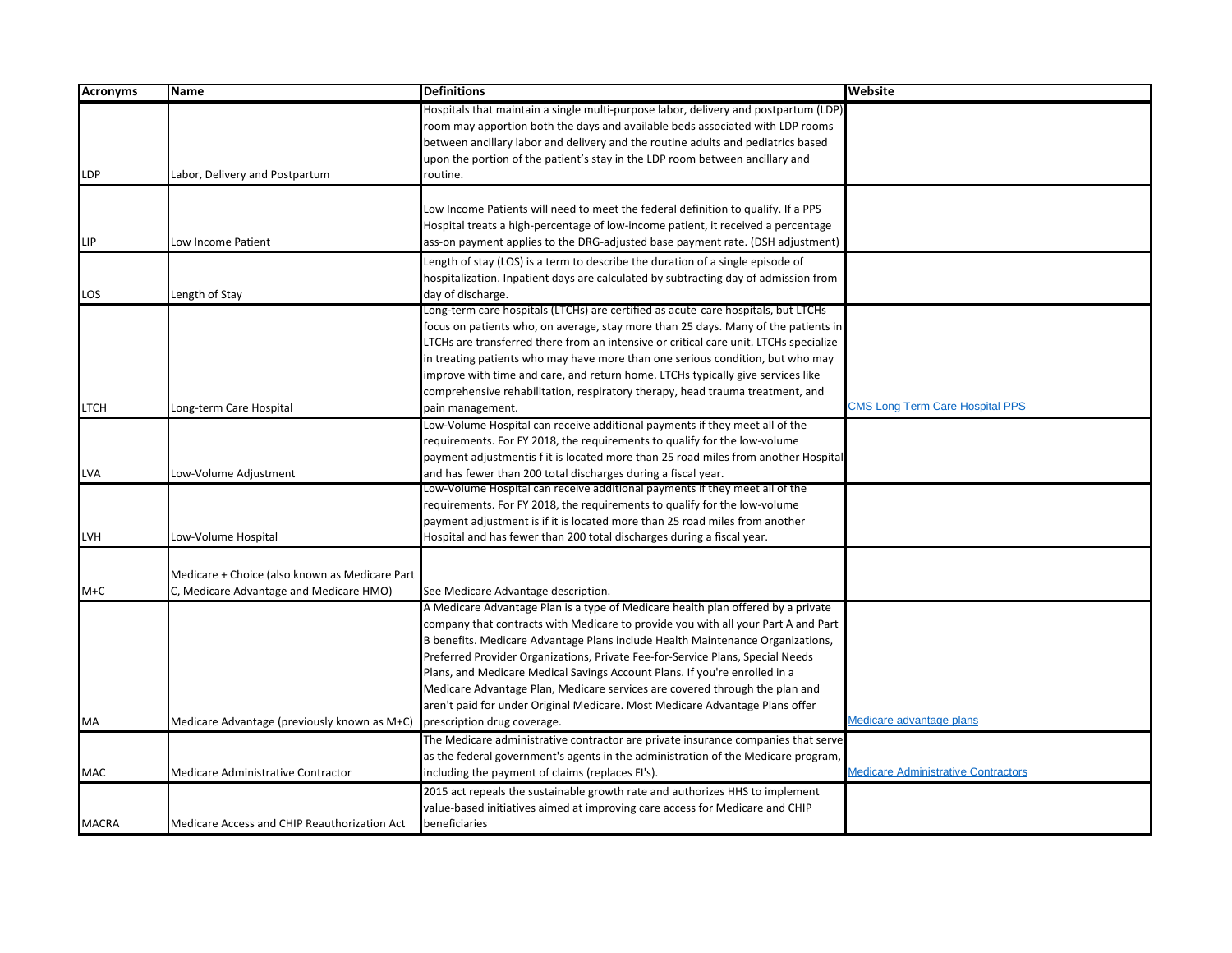| <b>Acronyms</b> | <b>Name</b>                                    | <b>Definitions</b>                                                                    | Website                                    |
|-----------------|------------------------------------------------|---------------------------------------------------------------------------------------|--------------------------------------------|
|                 |                                                | Hospitals that maintain a single multi-purpose labor, delivery and postpartum (LDP)   |                                            |
|                 |                                                | room may apportion both the days and available beds associated with LDP rooms         |                                            |
|                 |                                                | between ancillary labor and delivery and the routine adults and pediatrics based      |                                            |
|                 |                                                | upon the portion of the patient's stay in the LDP room between ancillary and          |                                            |
| <b>LDP</b>      | Labor, Delivery and Postpartum                 | routine.                                                                              |                                            |
|                 |                                                |                                                                                       |                                            |
|                 |                                                | Low Income Patients will need to meet the federal definition to qualify. If a PPS     |                                            |
|                 |                                                | Hospital treats a high-percentage of low-income patient, it received a percentage     |                                            |
| <b>LIP</b>      | Low Income Patient                             | ass-on payment applies to the DRG-adjusted base payment rate. (DSH adjustment)        |                                            |
|                 |                                                | Length of stay (LOS) is a term to describe the duration of a single episode of        |                                            |
|                 |                                                | hospitalization. Inpatient days are calculated by subtracting day of admission from   |                                            |
| LOS             | Length of Stay                                 | day of discharge.                                                                     |                                            |
|                 |                                                | Long-term care hospitals (LTCHs) are certified as acute care hospitals, but LTCHs     |                                            |
|                 |                                                | focus on patients who, on average, stay more than 25 days. Many of the patients in    |                                            |
|                 |                                                | LTCHs are transferred there from an intensive or critical care unit. LTCHs specialize |                                            |
|                 |                                                | in treating patients who may have more than one serious condition, but who may        |                                            |
|                 |                                                | improve with time and care, and return home. LTCHs typically give services like       |                                            |
|                 |                                                | comprehensive rehabilitation, respiratory therapy, head trauma treatment, and         |                                            |
| <b>LTCH</b>     | Long-term Care Hospital                        | pain management.                                                                      | <b>CMS Long Term Care Hospital PPS</b>     |
|                 |                                                | Low-Volume Hospital can receive additional payments if they meet all of the           |                                            |
|                 |                                                | requirements. For FY 2018, the requirements to qualify for the low-volume             |                                            |
|                 |                                                | payment adjustmentis f it is located more than 25 road miles from another Hospital    |                                            |
| <b>LVA</b>      | Low-Volume Adjustment                          | and has fewer than 200 total discharges during a fiscal year.                         |                                            |
|                 |                                                | Low-Volume Hospital can receive additional payments if they meet all of the           |                                            |
|                 |                                                | requirements. For FY 2018, the requirements to qualify for the low-volume             |                                            |
|                 |                                                | payment adjustment is if it is located more than 25 road miles from another           |                                            |
| LVH             | Low-Volume Hospital                            | Hospital and has fewer than 200 total discharges during a fiscal year.                |                                            |
|                 |                                                |                                                                                       |                                            |
|                 | Medicare + Choice (also known as Medicare Part |                                                                                       |                                            |
| M+C             | C, Medicare Advantage and Medicare HMO)        | See Medicare Advantage description.                                                   |                                            |
|                 |                                                | A Medicare Advantage Plan is a type of Medicare health plan offered by a private      |                                            |
|                 |                                                | company that contracts with Medicare to provide you with all your Part A and Part     |                                            |
|                 |                                                | B benefits. Medicare Advantage Plans include Health Maintenance Organizations,        |                                            |
|                 |                                                | Preferred Provider Organizations, Private Fee-for-Service Plans, Special Needs        |                                            |
|                 |                                                | Plans, and Medicare Medical Savings Account Plans. If you're enrolled in a            |                                            |
|                 |                                                | Medicare Advantage Plan, Medicare services are covered through the plan and           |                                            |
|                 |                                                | aren't paid for under Original Medicare. Most Medicare Advantage Plans offer          |                                            |
| MA              | Medicare Advantage (previously known as M+C)   | prescription drug coverage.                                                           | Medicare advantage plans                   |
|                 |                                                | The Medicare administrative contractor are private insurance companies that serve     |                                            |
|                 |                                                | as the federal government's agents in the administration of the Medicare program,     |                                            |
| <b>MAC</b>      | Medicare Administrative Contractor             | including the payment of claims (replaces FI's).                                      | <b>Medicare Administrative Contractors</b> |
|                 |                                                | 2015 act repeals the sustainable growth rate and authorizes HHS to implement          |                                            |
|                 |                                                | value-based initiatives aimed at improving care access for Medicare and CHIP          |                                            |
| <b>MACRA</b>    | Medicare Access and CHIP Reauthorization Act   | beneficiaries                                                                         |                                            |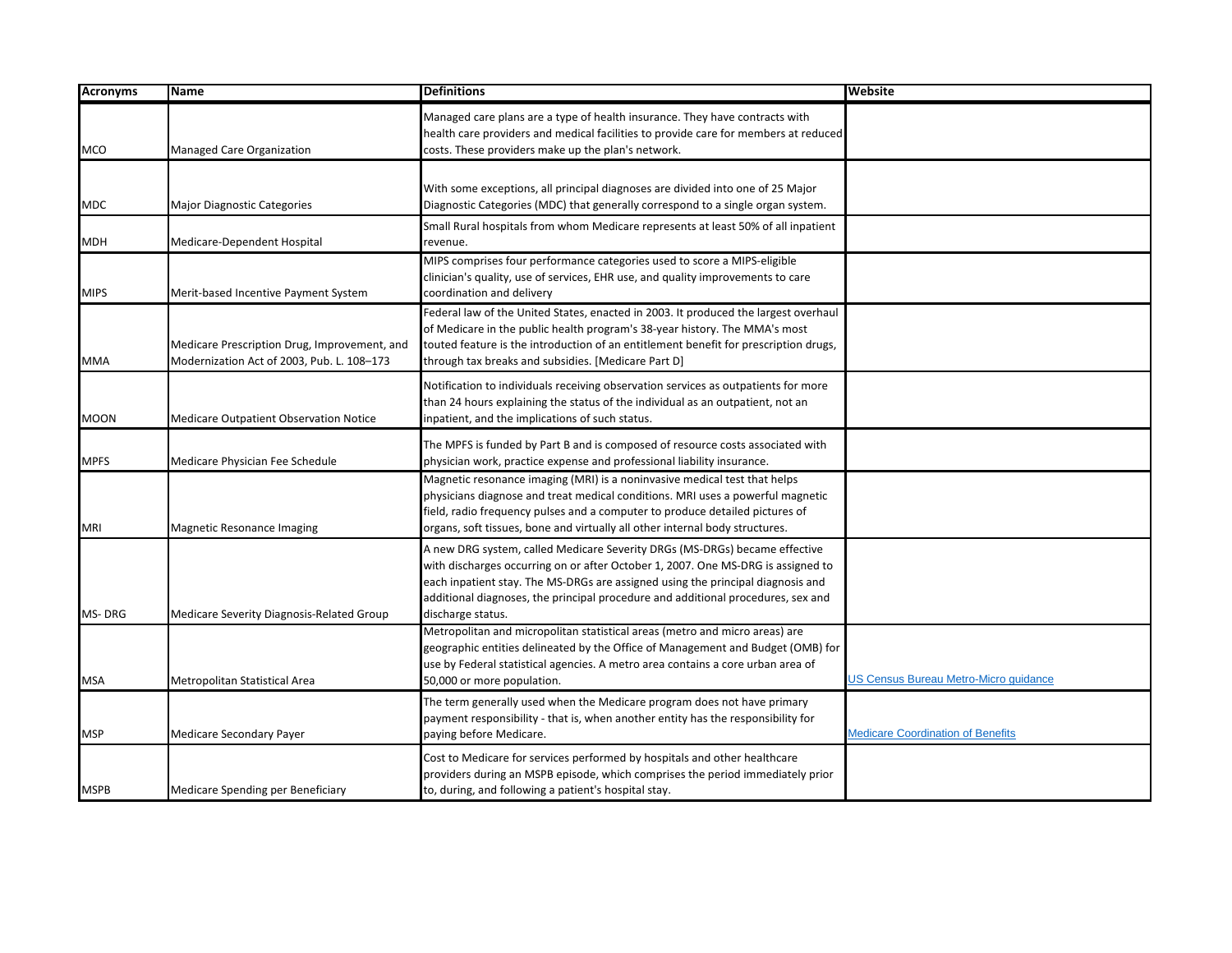| <b>Acronyms</b> | <b>Name</b>                                                                                | <b>Definitions</b>                                                                                                                                                                                                                                                                                                                                         | <b>Website</b>                           |
|-----------------|--------------------------------------------------------------------------------------------|------------------------------------------------------------------------------------------------------------------------------------------------------------------------------------------------------------------------------------------------------------------------------------------------------------------------------------------------------------|------------------------------------------|
| <b>MCO</b>      | Managed Care Organization                                                                  | Managed care plans are a type of health insurance. They have contracts with<br>health care providers and medical facilities to provide care for members at reduced<br>costs. These providers make up the plan's network.                                                                                                                                   |                                          |
| <b>MDC</b>      | Major Diagnostic Categories                                                                | With some exceptions, all principal diagnoses are divided into one of 25 Major<br>Diagnostic Categories (MDC) that generally correspond to a single organ system.                                                                                                                                                                                          |                                          |
| <b>MDH</b>      | Medicare-Dependent Hospital                                                                | Small Rural hospitals from whom Medicare represents at least 50% of all inpatient<br>revenue.                                                                                                                                                                                                                                                              |                                          |
| <b>MIPS</b>     | Merit-based Incentive Payment System                                                       | MIPS comprises four performance categories used to score a MIPS-eligible<br>clinician's quality, use of services, EHR use, and quality improvements to care<br>coordination and delivery                                                                                                                                                                   |                                          |
| <b>MMA</b>      | Medicare Prescription Drug, Improvement, and<br>Modernization Act of 2003, Pub. L. 108-173 | Federal law of the United States, enacted in 2003. It produced the largest overhaul<br>of Medicare in the public health program's 38-year history. The MMA's most<br>touted feature is the introduction of an entitlement benefit for prescription drugs,<br>through tax breaks and subsidies. [Medicare Part D]                                           |                                          |
| <b>MOON</b>     | Medicare Outpatient Observation Notice                                                     | Notification to individuals receiving observation services as outpatients for more<br>than 24 hours explaining the status of the individual as an outpatient, not an<br>inpatient, and the implications of such status.                                                                                                                                    |                                          |
| <b>MPFS</b>     | Medicare Physician Fee Schedule                                                            | The MPFS is funded by Part B and is composed of resource costs associated with<br>physician work, practice expense and professional liability insurance.                                                                                                                                                                                                   |                                          |
| <b>MRI</b>      | Magnetic Resonance Imaging                                                                 | Magnetic resonance imaging (MRI) is a noninvasive medical test that helps<br>physicians diagnose and treat medical conditions. MRI uses a powerful magnetic<br>field, radio frequency pulses and a computer to produce detailed pictures of<br>organs, soft tissues, bone and virtually all other internal body structures.                                |                                          |
| MS-DRG          | Medicare Severity Diagnosis-Related Group                                                  | A new DRG system, called Medicare Severity DRGs (MS-DRGs) became effective<br>with discharges occurring on or after October 1, 2007. One MS-DRG is assigned to<br>each inpatient stay. The MS-DRGs are assigned using the principal diagnosis and<br>additional diagnoses, the principal procedure and additional procedures, sex and<br>discharge status. |                                          |
| <b>MSA</b>      | Metropolitan Statistical Area                                                              | Metropolitan and micropolitan statistical areas (metro and micro areas) are<br>geographic entities delineated by the Office of Management and Budget (OMB) for<br>use by Federal statistical agencies. A metro area contains a core urban area of<br>50,000 or more population.                                                                            | JS Census Bureau Metro-Micro guidance    |
| <b>MSP</b>      | Medicare Secondary Payer                                                                   | The term generally used when the Medicare program does not have primary<br>payment responsibility - that is, when another entity has the responsibility for<br>paying before Medicare.                                                                                                                                                                     | <b>Medicare Coordination of Benefits</b> |
| <b>MSPB</b>     | Medicare Spending per Beneficiary                                                          | Cost to Medicare for services performed by hospitals and other healthcare<br>providers during an MSPB episode, which comprises the period immediately prior<br>to, during, and following a patient's hospital stay.                                                                                                                                        |                                          |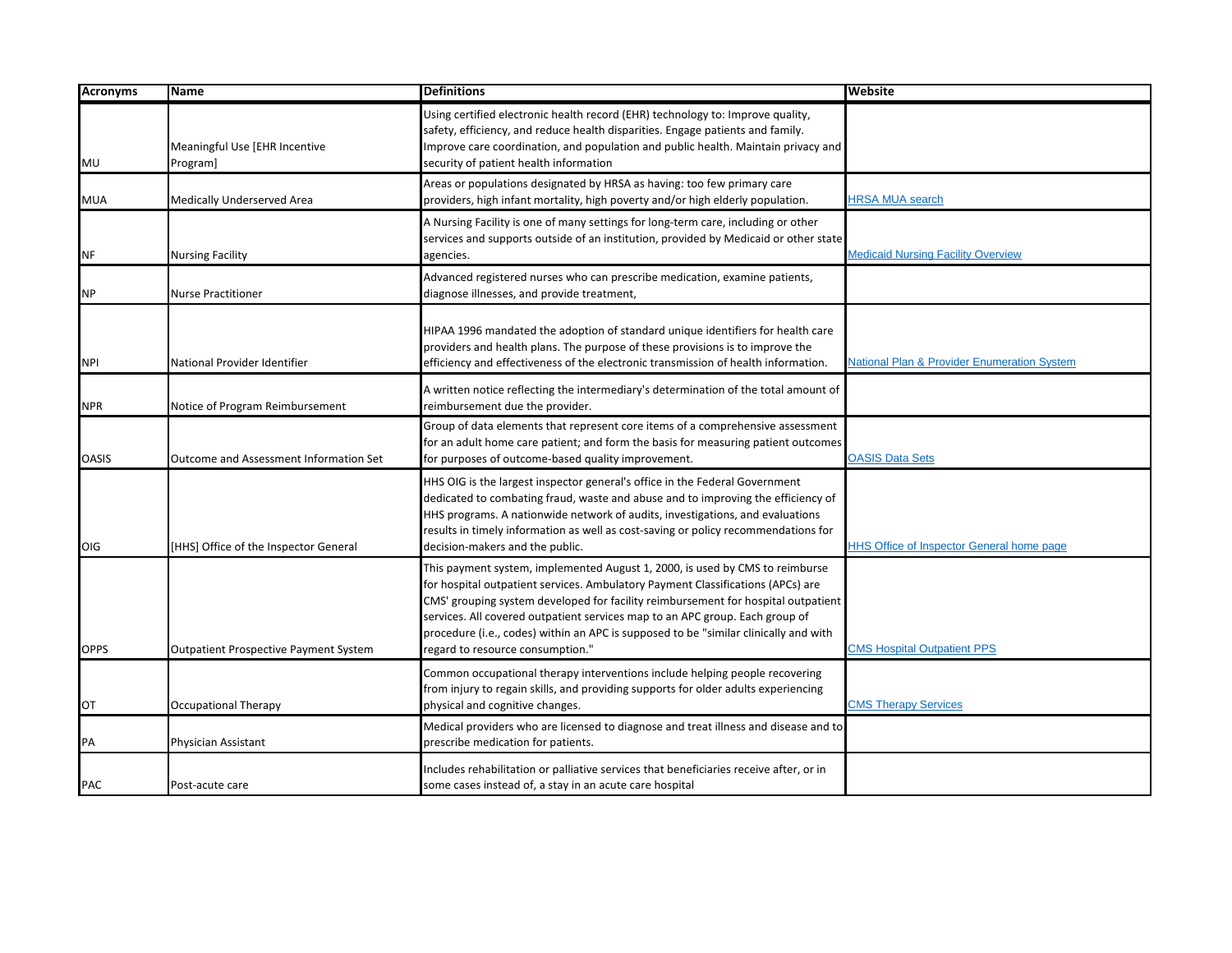| <b>Acronyms</b> | Name                                          | <b>Definitions</b>                                                                                                                                                                                                                                                                                                                                                                                                                                               | Website                                                |
|-----------------|-----------------------------------------------|------------------------------------------------------------------------------------------------------------------------------------------------------------------------------------------------------------------------------------------------------------------------------------------------------------------------------------------------------------------------------------------------------------------------------------------------------------------|--------------------------------------------------------|
| MU              | Meaningful Use [EHR Incentive<br>Program]     | Using certified electronic health record (EHR) technology to: Improve quality,<br>safety, efficiency, and reduce health disparities. Engage patients and family.<br>Improve care coordination, and population and public health. Maintain privacy and<br>security of patient health information                                                                                                                                                                  |                                                        |
| <b>MUA</b>      | Medically Underserved Area                    | Areas or populations designated by HRSA as having: too few primary care<br>providers, high infant mortality, high poverty and/or high elderly population.                                                                                                                                                                                                                                                                                                        | <b>HRSA MUA search</b>                                 |
| NF              | <b>Nursing Facility</b>                       | A Nursing Facility is one of many settings for long-term care, including or other<br>services and supports outside of an institution, provided by Medicaid or other state<br>agencies.                                                                                                                                                                                                                                                                           | <b>Medicaid Nursing Facility Overview</b>              |
| <b>NP</b>       | <b>Nurse Practitioner</b>                     | Advanced registered nurses who can prescribe medication, examine patients,<br>diagnose illnesses, and provide treatment,                                                                                                                                                                                                                                                                                                                                         |                                                        |
| <b>NPI</b>      | National Provider Identifier                  | HIPAA 1996 mandated the adoption of standard unique identifiers for health care<br>providers and health plans. The purpose of these provisions is to improve the<br>efficiency and effectiveness of the electronic transmission of health information.                                                                                                                                                                                                           | <b>National Plan &amp; Provider Enumeration System</b> |
| <b>NPR</b>      | Notice of Program Reimbursement               | A written notice reflecting the intermediary's determination of the total amount of<br>reimbursement due the provider.                                                                                                                                                                                                                                                                                                                                           |                                                        |
| <b>OASIS</b>    | <b>Outcome and Assessment Information Set</b> | Group of data elements that represent core items of a comprehensive assessment<br>for an adult home care patient; and form the basis for measuring patient outcomes<br>for purposes of outcome-based quality improvement.                                                                                                                                                                                                                                        | <b>OASIS Data Sets</b>                                 |
| <b>OIG</b>      | [HHS] Office of the Inspector General         | HHS OIG is the largest inspector general's office in the Federal Government<br>dedicated to combating fraud, waste and abuse and to improving the efficiency of<br>HHS programs. A nationwide network of audits, investigations, and evaluations<br>results in timely information as well as cost-saving or policy recommendations for<br>decision-makers and the public.                                                                                        | <b>HHS Office of Inspector General home page</b>       |
| <b>OPPS</b>     | <b>Outpatient Prospective Payment System</b>  | This payment system, implemented August 1, 2000, is used by CMS to reimburse<br>for hospital outpatient services. Ambulatory Payment Classifications (APCs) are<br>CMS' grouping system developed for facility reimbursement for hospital outpatient<br>services. All covered outpatient services map to an APC group. Each group of<br>procedure (i.e., codes) within an APC is supposed to be "similar clinically and with<br>regard to resource consumption." | <b>CMS Hospital Outpatient PPS</b>                     |
| OT              | <b>Occupational Therapy</b>                   | Common occupational therapy interventions include helping people recovering<br>from injury to regain skills, and providing supports for older adults experiencing<br>physical and cognitive changes.                                                                                                                                                                                                                                                             | <b>CMS Therapy Services</b>                            |
| PA              | Physician Assistant                           | Medical providers who are licensed to diagnose and treat illness and disease and to<br>prescribe medication for patients.                                                                                                                                                                                                                                                                                                                                        |                                                        |
| <b>PAC</b>      | Post-acute care                               | Includes rehabilitation or palliative services that beneficiaries receive after, or in<br>some cases instead of, a stay in an acute care hospital                                                                                                                                                                                                                                                                                                                |                                                        |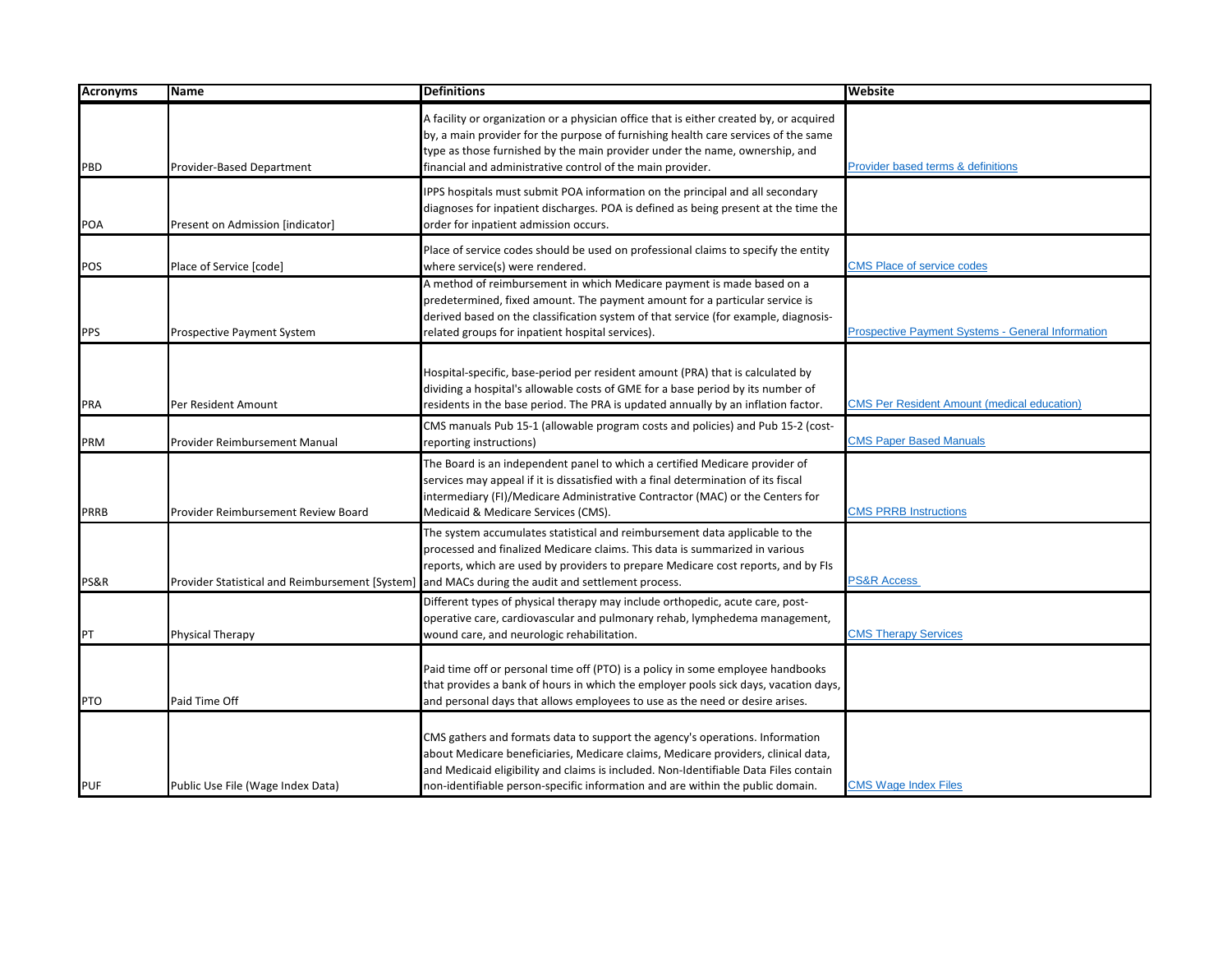| <b>Acronyms</b> | <b>Name</b>                                     | <b>Definitions</b>                                                                                                                                                                                                                                                                                                                          | Website                                                  |
|-----------------|-------------------------------------------------|---------------------------------------------------------------------------------------------------------------------------------------------------------------------------------------------------------------------------------------------------------------------------------------------------------------------------------------------|----------------------------------------------------------|
| PBD             | Provider-Based Department                       | A facility or organization or a physician office that is either created by, or acquired<br>by, a main provider for the purpose of furnishing health care services of the same<br>type as those furnished by the main provider under the name, ownership, and<br>financial and administrative control of the main provider.                  | Provider based terms & definitions                       |
| <b>POA</b>      | Present on Admission [indicator]                | IPPS hospitals must submit POA information on the principal and all secondary<br>diagnoses for inpatient discharges. POA is defined as being present at the time the<br>order for inpatient admission occurs.                                                                                                                               |                                                          |
| <b>POS</b>      | Place of Service [code]                         | Place of service codes should be used on professional claims to specify the entity<br>where service(s) were rendered.                                                                                                                                                                                                                       | <b>CMS Place of service codes</b>                        |
| <b>PPS</b>      | Prospective Payment System                      | A method of reimbursement in which Medicare payment is made based on a<br>predetermined, fixed amount. The payment amount for a particular service is<br>derived based on the classification system of that service (for example, diagnosis-<br>related groups for inpatient hospital services).                                            | <b>Prospective Payment Systems - General Information</b> |
| <b>PRA</b>      | Per Resident Amount                             | Hospital-specific, base-period per resident amount (PRA) that is calculated by<br>dividing a hospital's allowable costs of GME for a base period by its number of<br>residents in the base period. The PRA is updated annually by an inflation factor.                                                                                      | <b>CMS Per Resident Amount (medical education)</b>       |
| PRM             | Provider Reimbursement Manual                   | CMS manuals Pub 15-1 (allowable program costs and policies) and Pub 15-2 (cost-<br>reporting instructions)                                                                                                                                                                                                                                  | <b>CMS Paper Based Manuals</b>                           |
| <b>PRRB</b>     | Provider Reimbursement Review Board             | The Board is an independent panel to which a certified Medicare provider of<br>services may appeal if it is dissatisfied with a final determination of its fiscal<br>intermediary (FI)/Medicare Administrative Contractor (MAC) or the Centers for<br>Medicaid & Medicare Services (CMS).                                                   | <b>CMS PRRB Instructions</b>                             |
| PS&R            | Provider Statistical and Reimbursement [System] | The system accumulates statistical and reimbursement data applicable to the<br>processed and finalized Medicare claims. This data is summarized in various<br>reports, which are used by providers to prepare Medicare cost reports, and by FIs<br>and MACs during the audit and settlement process.                                        | <b>PS&amp;R Access</b>                                   |
| PT              | Physical Therapy                                | Different types of physical therapy may include orthopedic, acute care, post-<br>operative care, cardiovascular and pulmonary rehab, lymphedema management,<br>wound care, and neurologic rehabilitation.                                                                                                                                   | <b>CMS Therapy Services</b>                              |
| <b>PTO</b>      | Paid Time Off                                   | Paid time off or personal time off (PTO) is a policy in some employee handbooks<br>that provides a bank of hours in which the employer pools sick days, vacation days,<br>and personal days that allows employees to use as the need or desire arises.                                                                                      |                                                          |
| <b>PUF</b>      | Public Use File (Wage Index Data)               | CMS gathers and formats data to support the agency's operations. Information<br>about Medicare beneficiaries, Medicare claims, Medicare providers, clinical data,<br>and Medicaid eligibility and claims is included. Non-Identifiable Data Files contain<br>non-identifiable person-specific information and are within the public domain. | <b>CMS Wage Index Files</b>                              |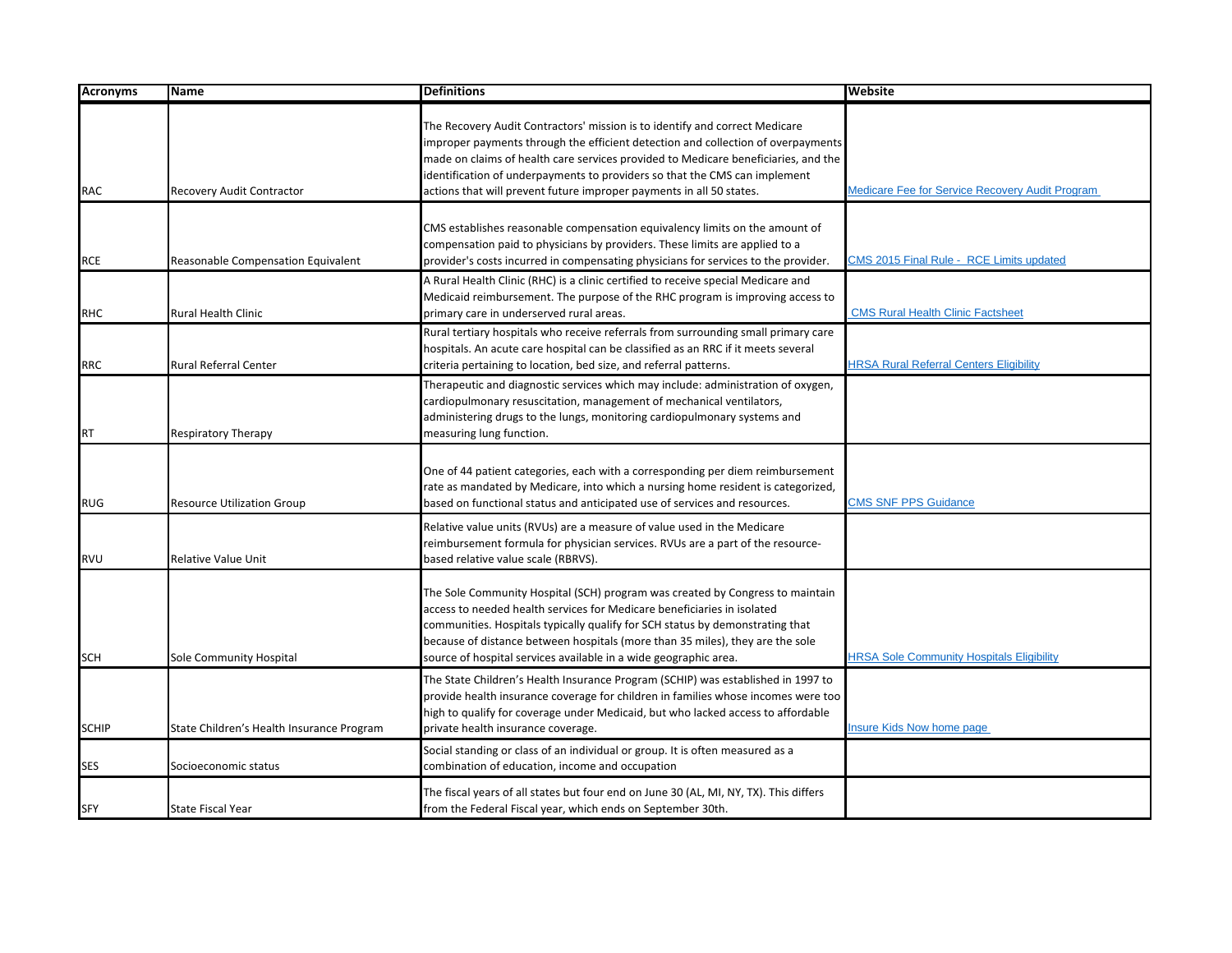| <b>Acronyms</b> | <b>Name</b>                               | <b>Definitions</b>                                                                                                                                                                                                                                                                                                                                                                                          | Website                                          |
|-----------------|-------------------------------------------|-------------------------------------------------------------------------------------------------------------------------------------------------------------------------------------------------------------------------------------------------------------------------------------------------------------------------------------------------------------------------------------------------------------|--------------------------------------------------|
| <b>RAC</b>      | Recovery Audit Contractor                 | The Recovery Audit Contractors' mission is to identify and correct Medicare<br>improper payments through the efficient detection and collection of overpayments<br>made on claims of health care services provided to Medicare beneficiaries, and the<br>identification of underpayments to providers so that the CMS can implement<br>actions that will prevent future improper payments in all 50 states. | Medicare Fee for Service Recovery Audit Program  |
| <b>RCE</b>      | Reasonable Compensation Equivalent        | CMS establishes reasonable compensation equivalency limits on the amount of<br>compensation paid to physicians by providers. These limits are applied to a<br>provider's costs incurred in compensating physicians for services to the provider.                                                                                                                                                            | CMS 2015 Final Rule - RCE Limits updated         |
| <b>RHC</b>      | Rural Health Clinic                       | A Rural Health Clinic (RHC) is a clinic certified to receive special Medicare and<br>Medicaid reimbursement. The purpose of the RHC program is improving access to<br>primary care in underserved rural areas.                                                                                                                                                                                              | <b>CMS Rural Health Clinic Factsheet</b>         |
| <b>RRC</b>      | Rural Referral Center                     | Rural tertiary hospitals who receive referrals from surrounding small primary care<br>hospitals. An acute care hospital can be classified as an RRC if it meets several<br>criteria pertaining to location, bed size, and referral patterns.                                                                                                                                                                | <b>HRSA Rural Referral Centers Eligibility</b>   |
| <b>RT</b>       | <b>Respiratory Therapy</b>                | Therapeutic and diagnostic services which may include: administration of oxygen,<br>cardiopulmonary resuscitation, management of mechanical ventilators,<br>administering drugs to the lungs, monitoring cardiopulmonary systems and<br>measuring lung function.                                                                                                                                            |                                                  |
| <b>RUG</b>      | <b>Resource Utilization Group</b>         | One of 44 patient categories, each with a corresponding per diem reimbursement<br>rate as mandated by Medicare, into which a nursing home resident is categorized,<br>based on functional status and anticipated use of services and resources.                                                                                                                                                             | <b>CMS SNF PPS Guidance</b>                      |
| <b>RVU</b>      | <b>Relative Value Unit</b>                | Relative value units (RVUs) are a measure of value used in the Medicare<br>reimbursement formula for physician services. RVUs are a part of the resource-<br>based relative value scale (RBRVS).                                                                                                                                                                                                            |                                                  |
| <b>SCH</b>      | Sole Community Hospital                   | The Sole Community Hospital (SCH) program was created by Congress to maintain<br>access to needed health services for Medicare beneficiaries in isolated<br>communities. Hospitals typically qualify for SCH status by demonstrating that<br>because of distance between hospitals (more than 35 miles), they are the sole<br>source of hospital services available in a wide geographic area.              | <b>HRSA Sole Community Hospitals Eligibility</b> |
| <b>SCHIP</b>    | State Children's Health Insurance Program | The State Children's Health Insurance Program (SCHIP) was established in 1997 to<br>provide health insurance coverage for children in families whose incomes were too<br>high to qualify for coverage under Medicaid, but who lacked access to affordable<br>private health insurance coverage.                                                                                                             | <b>Insure Kids Now home page</b>                 |
| SES             | Socioeconomic status                      | Social standing or class of an individual or group. It is often measured as a<br>combination of education, income and occupation                                                                                                                                                                                                                                                                            |                                                  |
| <b>SFY</b>      | <b>State Fiscal Year</b>                  | The fiscal years of all states but four end on June 30 (AL, MI, NY, TX). This differs<br>from the Federal Fiscal year, which ends on September 30th.                                                                                                                                                                                                                                                        |                                                  |